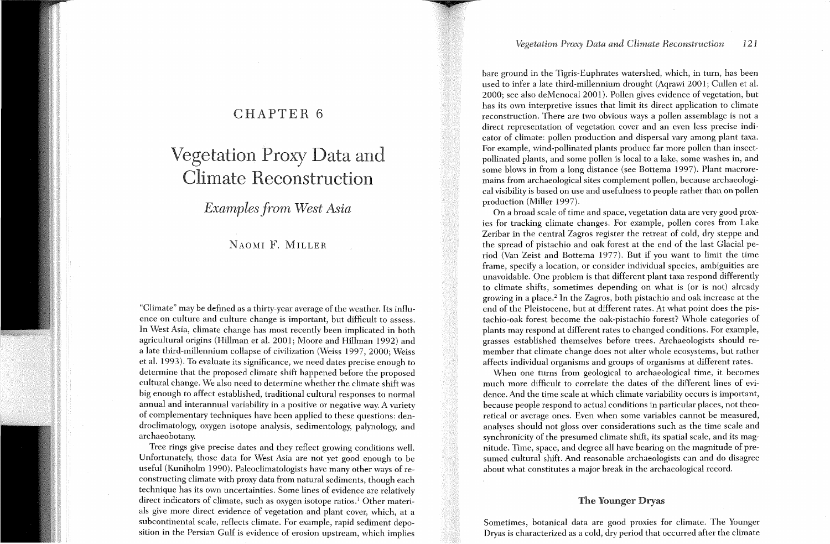## CHAPTER 6

# Vegetation Proxy Data and Climate Reconstruction

*Examples from West Asia* 

NAOMI F. MILLER

"Climate" may be defined as a thirty-year average of the weather. Its influence on culture and culture change is important, but difficult to assess. In West Asia, climate change has most recently been implicated in both agricultural origins (Hillman et al. 2001; Moore and Hillman 1992) and a late third-millennium collapse of civilization (Weiss 1997, 2000; Weiss et al. 1993). To evaluate its significance, we need dates precise enough to determine that the proposed climate shift happened before the proposed cultural change. We also need to determine whether the climate shift was big enough to affect established, traditional cultural responses to normal annual and interannual variability in a positive or negative way. A variety of complementary techniques have been applied to these questions: dendroclimatology, oxygen isotope analysis, sedimentology, palynology, and archaeobotany.

Tree rings give precise dates and they reflect growing conditions well. Unfortunately, those data for West Asia are not yet good enough to be useful (Kuniholm 1990). Paleoclimatologists have many other ways of reconstructing climate with proxy data from natural sediments, though each technique has its own uncertainties. Some lines of evidence are relatively direct indicators of climate, such as oxygen isotope ratios.<sup>1</sup> Other materials give more direct evidence of vegetation and plant cover, which, at a subcontinental scale, reflects climate. For example, rapid sediment deposition in the Persian Gulf is evidence of erosion upstream, which implies bare ground in the Tigris-Euphrates watershed, which, in turn, has been used to infer a late third-millennium drought (Aqrawi 2001; Cullen et al. 2000; see also deMenocal 2001). Pollen gives evidence of vegetation, but has its own interpretive issues that limit its direct application to climate reconstruction. There are two obvious ways a pollen assemblage is not a direct representation of vegetation cover and an even less precise indicator of climate: pollen production and dispersal vary among plant taxa. For example, wind-pollinated plants produce far more pollen than insectpollinated plants, and some pollen is local to a lake, some washes in, and some blows in from a long distance (see Bottema 1997). Plant macroremains from archaeological sites complement pollen, because archaeological visibility is based on use and usefulness to people rather than on pollen production (Miller 1997).

On a broad scale of time and space, vegetation data are very good proxies for tracking climate changes. For example, pollen cores from Lake Zeribar in the central Zagros register the retreat of cold, dry steppe and the spread of pistachio and oak forest at the end of the last Glacial period (Van Zeist and Bottema 1977). But if you want to limit the time frame, specify a location, or consider individual species, ambiguities are unavoidable. One problem is that different plant taxa respond differently to climate shifts, sometimes depending on what is (or is not) already growing in a place. 2 In the Zagros, both pistachio and oak increase at the end of the Pleistocene, but at different rates. At what point does the pistachio-oak forest become the oak-pistachio forest? Whole categories of plants may respond at different rates to changed conditions. For example, grasses established themselves before trees. Archaeologists should remember that climate change does not alter whole ecosystems, but rather affects individual organisms and groups of organisms at different rates.

When one turns from geological to archaeological time, it becomes much more difficult to correlate the dates of the different lines of evidence. And the time scale at which climate variability occurs is important, because people respond to actual conditions in particular places, not theoretical or average ones. Even when some variables cannot be measured, analyses should not gloss over considerations such as the time scale and synchronicity of the presumed climate shift, its spatial scale, and its magnitude. Time, space, and degree all have bearing on the magnitude of presumed cultural shift. And reasonable archaeologists can and do disagree about what constitutes a major break in the archaeological record.

### The Younger Dryas

Sometimes, botanical data are good proxies for climate. The Younger Dryas is characterized as a cold, dry period that occurred after the climate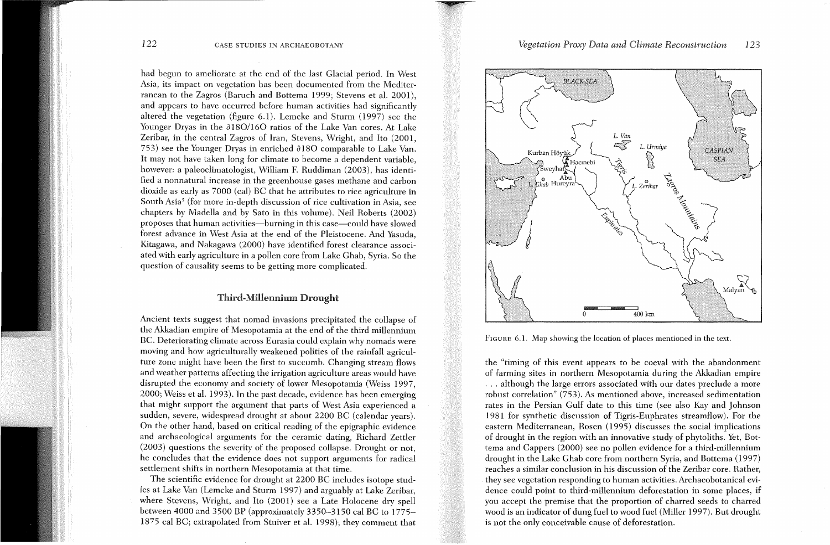*Vegetation Proxy Data and Climate Reconstruction* 123

had begun to ameliorate at the end of the last Glacial period. In West Asia, its impact on vegetation has been documented from the Mediterranean to the Zagros (Baruch and Bottema 1999; Stevens et al. 2001), and appears to have occurred before human activities had significantly altered the vegetation (figure 6.1). Lemcke and Sturm  $(1997)$  see the Younger Dryas in the  $\partial 18O/16O$  ratios of the Lake Van cores. At Lake Zeribar, in the central Zagros of Iran, Stevens, Wright, and Ito (2001, 753) see the Younger Dryas in enriched  $\partial$ 180 comparable to Lake Van. It may not have taken long for climate to become a dependent variable, however: a paleoclimatologist, William F. Ruddiman (2003), has identified a nonnatural increase in the greenhouse gases methane and carbon dioxide as early as 7000 (cal) BC that he attributes to rice agriculture in South Asia3 (for more in-depth discussion of rice cultivation in Asia, see chapters by Madella and by Sato in this volume). Neil Roberts (2002) proposes that human activities-burning in this case-could have slowed forest advance in West Asia at the end of the Pleistocene. And Yasuda, Kitagawa, and Nakagawa (2000) have identified forest clearance associated with early agriculture in a pollen core from Lake Ghab, Syria. So the question of causality seems to be getting more complicated.

#### Third-Millennium Drought

Ancient texts suggest that nomad invasions precipitated the collapse of the Akkadian empire of Mesopotamia at the end of the third millennium BC. Deteriorating climate across Eurasia could explain why nomads were moving and how agriculturally weakened polities of the rainfall agriculture zone might have been the first to succumb. Changing stream flows and weather patterns affecting the irrigation agriculture areas would have disrupted the economy and society of lower Mesopotamia (Weiss 1997, 2000; Weiss et al. 1993). In the past decade, evidence has been emerging that might support the argument that parts of West Asia experienced a sudden, severe, widespread drought at about 2200 BC (calendar years). On the other hand, based on critical reading of the epigraphic evidence and archaeological arguments for the ceramic dating, Richard Zettler (2003) questions the severity of the proposed collapse. Drought or not, he concludes that the evidence does not support arguments for radical settlement shifts in northern Mesopotamia at that time.

The scientific evidence for drought at 2200 BC includes isotope studies at Lake Van (Lemcke and Sturm 1997) and arguably at Lake Zeribar, where Stevens, Wright, and Ito (2001) see a Late Holocene dry spell between 4000 and 3500 BP (approximately 3350-3150 cal BC to 1775 lS75 cal BC; extrapolated from Stuiver et al. 1995); they comment that



FIGURE 6.1. Map showing the location of places mentioned in the text.

the "timing of this event appears to be coeval with the abandonment of farming sites in northern Mesopotamia during the Akkadian empire ... although the large errors associated with our dates preclude a more robust correlation" (753). As mentioned above, increased sedimentation rates in the Persian Gulf date to this time (see also Kay and Johnson 19S1 for synthetic discussion of Tigris-Euphrates streamflow). For the eastern Mediterranean, Rosen (1995) discusses the social implications of drought in the region with an innovative study of phytoliths. Yet, Bottema and Cappers (2000) see no pollen evidence for a third-millennium drought in the Lake Ghab core from northern Syria, and Bottema (1997) reaches a similar conclusion in his discussion of the Zeribar core. Rather, they see vegetation responding to human activities. Archaeobotanical evidence could point to third-millennium deforestation in some places, if you accept the premise that the proportion of charred seeds to charred wood is an indicator of dung fuel to wood fuel (Miller 1997). But drought is not the only conceivable cause of deforestation.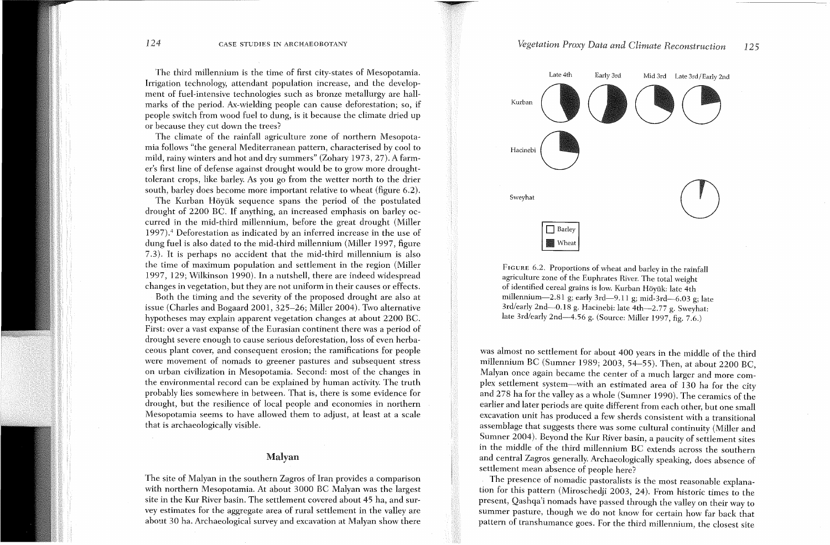#### *Vegetation Proxy Data and Climate Reconstruction*  125

The third millennium is the time of first city-states of Mesopotamia. Irrigation technology, attendant population increase, and the development of fuel-intensive technologies such as bronze metallurgy are hallmarks of the period. Ax-wielding people can cause deforestation; so, if people switch from wood fuel to dung, is it because the climate dried up or because they cut down the trees?

The climate of the rainfall agriculture zone of northern Mesopotamia follows "the general Mediterranean pattern, characterised by cool to mild, rainy winters and hot and dry summers" (Zohary 1973, 27). A farmer's first line of defense against drought would be to grow more droughttolerant crops, like barley. As you go from the wetter north to the drier south, barley does become more important relative to wheat (figure 6.2).

The Kurban Höyük sequence spans the period of the postulated drought of 2200 BC. If anything, an increased emphasis on barley occurred in the mid-third millennium, before the great drought (Miller 1997).4 Deforestation as indicated by an inferred increase in the use of dung fuel is also dated to the mid-third millennium (Miller 1997, figure 7.3). It is perhaps no accident that the mid-third millennium is also the time of maximum population and settlement in the region (Miller 1997,129; Wilkinson 1990). In a nutshell, there are indeed widespread changes in vegetation, but they are not uniform in their causes or effects.

Both the timing and the severity of the proposed drought are also at issue (Charles and Bogaard 2001, 325-26; Miller 2004). Two alternative hypotheses may explain apparent vegetation changes at about 2200 BC. First: over a vast expanse of the Eurasian continent there was a period of drought severe enough to cause serious deforestation, loss of even herbaceous plant cover, and consequent erosion; the ramifications for people were movement of nomads to greener pastures and subsequent stress on urban civilization in Mesopotamia. Second: most of the changes in the environmental record can be explained by human activity. The truth probably lies somewhere in between. That is, there is some evidence for drought, but the resilience of local people and economies in northern Mesopotamia seems to have allowed them to adjust, at least at a scale that is archaeologically visible.

#### Malyan

The site of Malyan in the southern Zagros of Iran provides a comparison with northern Mesopotamia. At about 3000 BC Malyan was the largest site in the Kur River basin. The settlement covered about 45 ha, and survey estimates for the aggregate area of rural settlement in the valley are about 30 ha. Archaeological survey and excavation at Malyan show there



FIGURE 6.2. Proportions of wheat and barley in the rainfall agriculture zone of the Euphrates River. The total weight of identified cereal grains is low. Kurban Hoyiik: late 4th millennium-2.81 g; early 3rd-9.11 g; mid-3rd-6.03 g; late 3rd/early 2nd-O.IS g. Hacinebi: late 4th-2.77 g. Sweyhat: late 3rd/early 2nd-4.56 g. (Source: Miller 1997, fig. 7.6.)

was almost no settlement for about 400 years in the middle of the third millennium BC (Sumner 1989; 2003, 54-55). Then, at about 2200 BC, Malyan once again became the center of a much larger and more complex settlement system-with an estimated area of 130 ha for the city and 278 ha for the valley as a whole (Sumner 1990). The ceramics of the earlier and later periods are quite different from each other, but one small excavation unit has produced a few sherds consistent with a transitional assemblage that suggests there was some cultural continuity (Miller and Sumner 2004). Beyond the Kur River basin, a paucity of settlement sites in the middle of the third millennium BC extends across the southern and central Zagros generally. Archaeologically speaking, does absence of settlement mean absence of people here?

The presence of nomadic pastoralists is the most reasonable explanation for this pattern (Miroschedji 2003, 24). From historic times to the present, Qashqa'i nomads have passed through the valley on their way to summer pasture, though we do not know for certain how far back that pattern of transhumance goes. For the third millennium, the closest site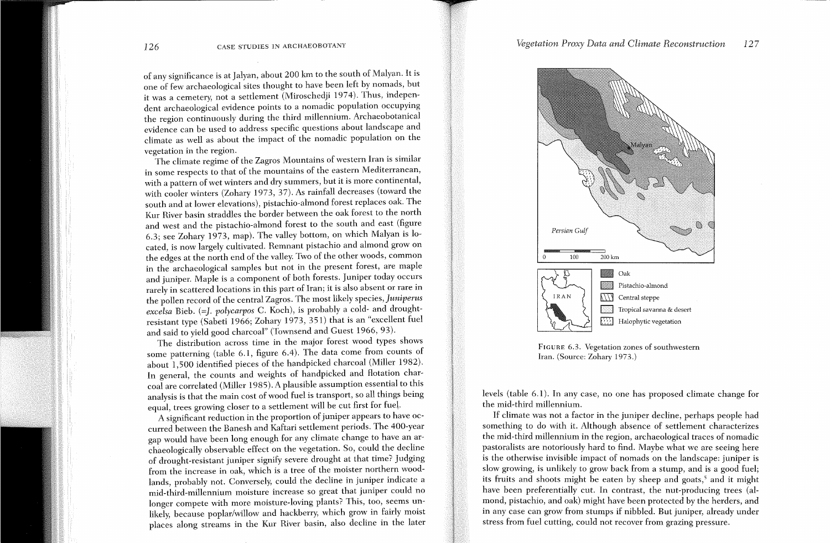of any significance is at Jalyan, about 200 km to the south of Malyan. It is one of few archaeological sites thought to have been left by nomads, but it was a cemetery, not a settlement (Miroschedji 1974). Thus, independent archaeological evidence points to a nomadic population occupying the region continuously during the third millennium. Archaeobotanical evidence can be used to address specific questions about landscape and climate as well as about the impact of the nomadic population on the vegetation in the region.

The climate regime of the Zagros Mountains of western Iran is similar in some respects to that of the mountains of the eastern Mediterranean, with a pattern of wet winters and dry summers, but it is more continental, with cooler winters (Zohary 1973, 37). As rainfall decreases (toward the south and at lower elevations), pistachio-almond forest replaces oak. The Kur River basin straddles the border between the oak forest to the north and west and the pistachio-almond forest to the south and east (figure 6.3; see Zohary 1973, map). The valley bottom, on which Malyan is located, is now largely cultivated. Remnant pistachio and almond grow on the edges at the north end of the valley. Two of the other woods, common in the archaeological samples but not in the present forest, are maple and juniper. Maple is a component of both forests. Juniper today occurs rarely in scattered locations in this part of Iran; it is also absent or rare in the pollen record of the central Zagros. The most likely species, *Juniperus excelsa* Bieb. *(=J. polycarpos* C. Koch), is probably a cold- and droughtresistant type (Sabeti 1966; Zohary 1973, 351) that is an "excellent fuel and said to yield good charcoal" (Townsend and Guest 1966, 93).

The distribution across time in the major forest wood types shows some patterning (table 6.1, figure 6.4). The data come from counts of about 1,500 identified pieces of the handpicked charcoal (Miller 1982). In general, the counts and weights of handpicked and flotation charcoal are correlated (Miller 1985). A plausible assumption essential to this analysis is that the main cost of wood fuel is transport, so all things being equal, trees growing closer to a settlement will be cut first for fuel·

A significant reduction in the proportion of juniper appears to have occurred between the Banesh and Kaftari settlement periods. The 400-year gap would have been long enough for any climate change to have an archaeologically observable effect on the vegetation. So, could the decline of drought-resistant juniper signify severe drought at that time? Judging from the increase in oak, which is a tree of the moister northern woodlands, probably not. Conversely, could the decline in juniper indicate a mid-third-millennium moisture increase so great that juniper could no longer compete with more moisture-loving plants? This, too, seems unlikely, because poplar/willow and hackberry, which grow in fairly moist places along streams in the Kur River basin, also decline in the later



FIGURE 6.3. Vegetation zones of southwestern Iran. (Source: Zohary 1973.)

levels (table 6.1). In any case, no one has proposed climate change for the mid-third millennium.

If climate was not a factor in the juniper decline, perhaps people had something to do with it. Although absence of settlement characterizes the mid-third millennium in the region, archaeological traces of nomadic pastoralists are notoriously hard to find. Maybe what we are seeing here is the otherwise invisible impact of nomads on the landscape: juniper is slow growing, is unlikely to grow back from a stump, and is a good fuel; its fruits and shoots might be eaten by sheep and goats,<sup>5</sup> and it might have been preferentially cut. In contrast, the nut-producing trees (almond, pistachio, and oak) might have been protected by the herders, and in any case can grow from stumps if nibbled. But juniper, already under stress from fuel cutting, could not recover from grazing pressure.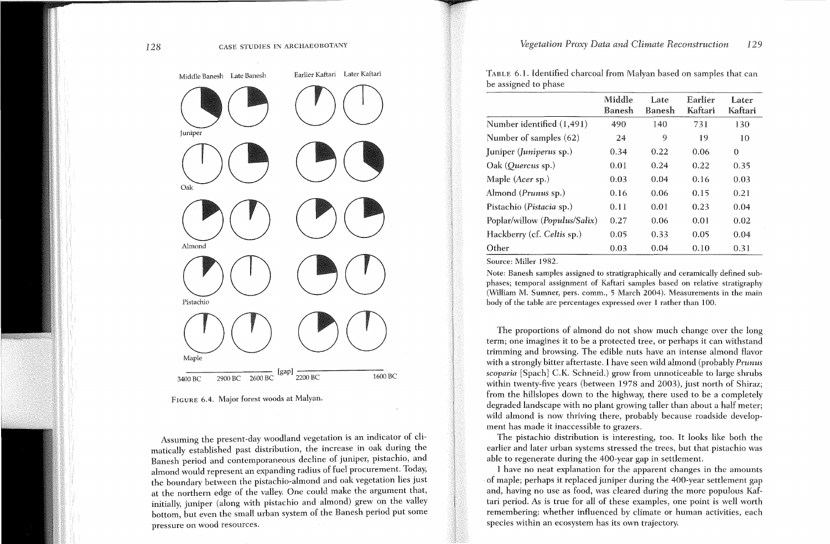

FIGURE 6.4. Major forest woods at Malyan.

Assuming the present-day woodland vegetation is an indicator of climatically established past distribution, the increase in oak during the Banesh period and contemporaneous decline of juniper, pistachio, and almond would represent an expanding radius of fuel procurement. Today, the boundary between the pistachio-almond and oak vegetation lies just at the northern edge of the valley. One could make the argument that, initially, juniper (along with pistachio and almond) grew on the valley bottom, but even the small urban system of the Banesh period put some pressure on wood resources.

TABLE 6.1. Identified charcoal from Malyan based on samples that can be assigned to phase

|                                  | Middle<br><b>Banesh</b> | Late<br><b>Banesh</b> | <b>Earlier</b><br>Kaftari | Later<br>Kaftari |
|----------------------------------|-------------------------|-----------------------|---------------------------|------------------|
| Number identified (1,491)        | 490                     | 140                   | 731                       | 130              |
| Number of samples (62)           | 24                      | 9                     | 19                        | 10               |
| Juniper ( <i>Juniperus sp.</i> ) | 0.34                    | 0.22                  | 0.06                      | $\Omega$         |
| Oak ( <i>Quercus sp.</i> )       | 0.01                    | 0.24                  | 0.22                      | 0.35             |
| Maple ( <i>Acer</i> sp.)         | 0.03                    | 0.04                  | 0.16                      | 0.03             |
| Almond ( <i>Prunus</i> sp.)      | 0.16                    | 0.06                  | 0.15                      | 0.21             |
| Pistachio (Pistacia sp.)         | 0.11                    | 0.01                  | 0.23                      | 0.04             |
| Poplar/willow (Populus/Salix)    | 0.27                    | 0.06                  | 0.01                      | 0.02             |
| Hackberry (cf. Celtis sp.)       | 0.05                    | 0.33                  | 0.05                      | 0.04             |
| Other                            | 0.03                    | 0.04                  | 0.10                      | 0.31             |

Source: Miller 1982.

Note: Banesh samples assigned to stratigraphically and ceramically defined subphases; temporal assignment of Kaftari samples based on relative stratigraphy (William M. Sumner, pers. comm., 5 March 2004). Measurements in the main body of the table are percentages expressed over 1 rather than 100.

The proportions of almond do not show much change over the long term; one imagines it to be a protected tree, or perhaps it can withstand trimming and browsing. The edible nuts have an intense almond flavor with a strongly bitter aftertaste. I have seen wild almond (probably *Prunus scoparia* [SpachJ C.K. Schneid.) grow from unnoticeable to large shrubs within twenty-five years (between 1978 and 2003), just north of Shiraz; from the hillslopes down to the highway, there used to be a completely degraded landscape with no plant growing taller than about a half meter; wild almond is now thriving there, probably because roadside development has made it inaccessible to grazers.

The pistachio distribution is interesting, too. It looks like both the earlier and later urban systems stressed the trees, but that pistachio was able to regenerate during the 400-year gap in settlement.

I have no neat explanation for the apparent changes in the amounts of maple; perhaps it replaced juniper during the 400-year settlement gap and, having no use as food, was cleared during the more populous Kaftari period. As is true for all of these examples, one point is well worth remembering: whether influenced by climate or human activities, each species within an ecosystem has its own trajectory.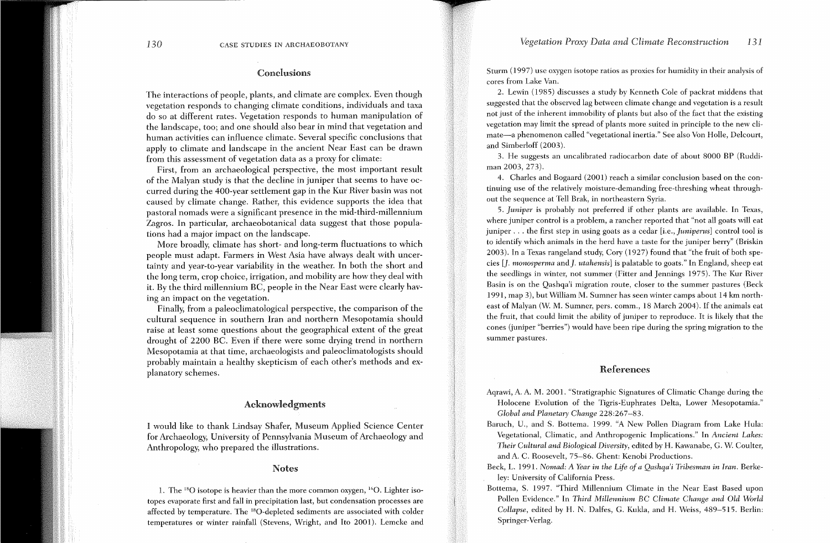#### Conclusions

The interactions of people, plants, and climate are complex. Even though vegetation responds to changing climate conditions, individuals and taxa do so at different rates. Vegetation responds to human manipulation of the landscape, too; and one should also bear in mind that vegetation and human activities can influence climate. Several specific conclusions that apply to climate and landscape in the ancient Near East can be drawn from this assessment of vegetation data as a proxy for climate:

First, from an archaeological perspective, the most important result of the Malyan study is that the decline in juniper that seems to have occurred during the 400-year settlement gap in the Kur River basin was not caused by climate change. Rather, this evidence supports the idea that pastoral nomads were a significant presence in the mid-third-millennium Zagros. In particular, archaeobotanical data suggest that those populations had a major impact on the landscape.

More broadly, climate has short- and long-term fluctuations to which people must adapt. Farmers in West Asia have always dealt with uncertainty and year-to-year variability in the weather. In both the short and the long term, crop choice, irrigation, and mobility are how they deal with it. By the third millennium BC, people in the Near East were clearly having an impact on the vegetation.

Finally, from a paleoclimatological perspective, the comparison of the cultural sequence in southern Iran and northern Mesopotamia should raise at least some questions about the geographical extent of the great drought of 2200 BC. Even if there were some drying trend in northern Mesopotamia at that time, archaeologists and paleoclimatologists should probably maintain a healthy skepticism of each other's methods and explanatory schemes.

#### Acknowledgments

I would like to thank Lindsay Shafer, Museum Applied Science Center for Archaeology, University of Pennsylvania Museum of Archaeology and Anthropology, who prepared the illustrations.

#### Notes

1. The 180 isotope is heavier than the more common oxygen, 160. Lighter isotopes evaporate first and fall in precipitation last, but condensation processes are affected by temperature. The <sup>18</sup>O-depleted sediments are associated with colder temperatures or winter rainfall (Stevens, Wright, and Ito 2001). Lemcke and Sturm (1997) use oxygen isotope ratios as proxies for humidity in their analysis of cores from Lake Van.

2. Lewin (1985) discusses a study by Kenneth Cole of packrat middens that suggested that the observed lag between climate change and vegetation is a result not just of the inherent immobility of plants but also of the fact that the existing vegetation may limit the spread of plants more suited in principle to the new climate-a phenomenon called "vegetational inertia." See also Von Holle, Delcourt, and Simberloff (2003).

3. He suggests an uncalibrated radiocarbon date of about 8000 BP (Ruddiman 2003,273).

4. Charles and Bogaard (2001) reach a similar conclusion based on the continuing use of the relatively moisture-demanding free-threshing wheat throughout the sequence at Tell Brak, in northeastern Syria.

*5. Juniper* is probably not preferred if other plants are available. In Texas, where juniper control is a problem, a rancher reported that "not all goats will eat juniper ... the first step in using goats as a cedar [i.e., *Juniperus]* control tool is to identify which animals in the herd have a taste for the juniper berry" (Briskin 2003). In a Texas rangeland study, Cory (I927) found that "the fruit of both species []. *monosperma* and]. *utahensis]* is palatable to goats." In England, sheep eat the seedlings in winter, not summer (Fitter and Jennings 1975). The Kur River Basin is on the Qashqa'i migration route, closer to the summer pastures (Beck 1991, map 3), but William M. Sumner has seen winter camps about 14 km northeast of Malyan (W. M. Sumner, pers. comm., 18 March 2004). If the animals eat the fruit, that could limit the ability of juniper to reproduce. It is likely that the cones (juniper "berries") would have been ripe during the spring migration to the summer pastures.

#### References

- Aqrawi, A. A. M. 2001. "Stratigraphic Signatures of Climatic Change during the Holocene Evolution of the Tigris-Euphrates Delta, Lower Mesopotamia." *Global and Planetary Change 228:267-83.*
- Baruch, U., and S. Bottema. 1999. "A New Pollen Diagram from Lake Hula: Vegetational, Climatic, and Anthropogenic Implications." In *Ancient Lakes: Their Cultural and Biological Diversity, edited by H. Kawanabe, G. W. Coulter,* and A. C. Roosevelt, 75-86. Ghent: Kenobi Productions.
- Beck, L. 1991. *Nomad: A Year in the Life of a Qashqa'i Tribesman in Iran.* Berkeley: University of California Press.
- Bottema, S. 1997. "Third Millennium Climate in the Near East Based upon Pollen Evidence." In *Third Millennium* BC *Climate Change and Old World Collapse,* edited by H. N. Dalfes, G. Kukla, and H. Weiss, 489-515. Berlin: Springer-Verlag.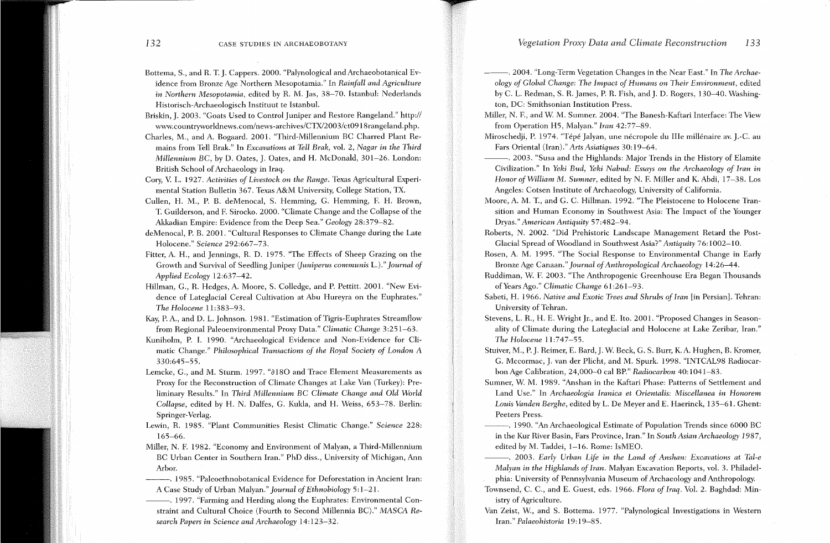- Bottema, S., and R. T. J. Cappers. 2000. "Palynological and Archaeobotanical Evidence from Bronze Age Northern Mesopotamia." In *Rainfall and Agriculture in Northern Mesopotamia,* edited by R. M. Jas, 38-70. Istanbul: Nederlands Historisch-Archaeologisch Instituut te Istanbul.
- Briskin, J. 2003. "Goats Used to Control Juniper and Restore Rangeland." http:// www.countryworldnews.com/news-archives/CTXl2003/ct0918rangeland.php.
- Charles, M., and A. Bogaard. 2001. "Third-Millennium BC Charred Plant Remains from Tell Brak." In *Excavations at Tell Brak,* vol. 2, *Nagar in the Third Millennium BC, by D. Oates, J. Oates, and H. McDonald, 301-26. London:* British School of Archaeology in Iraq.
- Cory, V. L. 1927. Activities of Livestock on the Range. Texas Agricultural Experimental Station Bulletin 367. Texas A&M University, College Station, TX.
- Cullen, H. M., P. B. deMenocal, S. Hemming, G. Hemming, F. H. Brown, T. Guilderson, and F. Sirocko. 2000. "Climate Change and the Collapse of the Akkadian Empire: Evidence from the Deep Sea." *Geology 28:379-82.*
- deMenocal, P. B. 2001. "Cultural Responses to Climate Change during the Late Holocene." *Science 292:667-73.*
- Fitter, A H., and Jennings, R. D. 1975. "The Effects of Sheep Grazing on the Growth and Survival of Seedling Juniper *(juniperus communis* L.)." *Journal of Applied Ecology 12:637-42.*
- Hillman, G., R. Hedges, A. Moore, S. Colledge, and P. Pettitt. 2001. "New Evidence of Lateglacial Cereal Cultivation at Abu Hureyra on the Euphrates." *The Holocene* **11:383-93.**
- Kay, P. A, and D. L. Johnson. 1981. "Estimation of Tigris-Euphrates Streamflow from Regional Paleoenvironmental Proxy Data." *Climatic Change 3:251-63.*
- Kuniholm, P. I. 1990. "Archaeological Evidence and Non-Evidence for Climatic Change." *Philosophical Transactions of the Royal Society of London* A 330:645-55.
- Lemcke, G., and M. Sturm. 1997. "∂18O and Trace Element Measurements as Proxy for the Reconstruction of Climate Changes at Lake Van (Turkey): Preliminary Results." In *Third Millennium BC Climate Change and Old World Collapse,* edited by H. N. Dalfes, G. Kukla, and H. Weiss, 653-78. Berlin: Springer-Verlag.
- Lewin, R. 1985. "Plant Communities Resist Climatic Change." *Science 228:*  165-66.
- Miller, N. F. 1982. "Economy and Environment of Malyan, a Third-Millennium BC Urban Center in Southern Iran." PhD diss., University of Michigan, Ann Arbor.
- ---. 1985. "Paleoethnobotanical Evidence for Deforestation in Ancient Iran: A Case Study of Urban Malyan." *Journal of Ethnobiology* 5: 1-21.
- ---. 1997. "Farming and Herding along the Euphrates: Environmental Constraint and Cultural Choice (Fourth to Second Millennia BC)." *MASCA Research Papers in Science and Archaeology* 14: 123-32.

-. 2004. "Long-Term Vegetation Changes in the Near East." In *The Archaeology of Global Change: The Impact of Humans on Their Environment,* edited by C. L. Redman, S. R. James, P. R. Fish, and J. D. Rogers, 130-40. Washington, DC: Smithsonian Institution Press.

- Miller, N. F., and W. M. Sumner. 2004. "The Banesh-Kaftari Interface: The View from Operation H5, Malyan." *Iran 42:77-89.*
- Miroschedji, P. 1974. "Tépé Jalyan, une nécropole du IIIe millénaire av. J.-C. au Fars Oriental (Iran)." *Arts Asiatiques* 30: 19-64.
- -. 2003. "Susa and the Highlands: Major Trends in the History of Elamite Civilization." In *Yeki Bud, Yeki Nabud: Essays on the Archaeology of Iran in Honor of William* M. *Sumner,* edited by N. F. Miller and K. Abdi, 17-38. Los Angeles: Cotsen Institute of Archaeology, University of California.
- Moore, A M. T., and G. C. Hillman. 1992. "The Pleistocene to Holocene Transition and Human Economy in Southwest Asia: The Impact of the Younger Dryas." *American Antiquity 57:482-94.*
- Roberts, N. 2002. "Did Prehistoric Landscape Management Retard the Post-Glacial Spread of Woodland in Southwest Asia?" *Antiquity* 76: 1002-10.
- Rosen, A. M. 1995. "The Social Response to Environmental Change in Early Bronze Age Canaan." *Journal of Anthropological Archaeology 14:26-44.*
- Ruddiman, W. F. 2003. "The Anthropogenic Greenhouse Era Began Thousands of Years Ago." *Climatic Change 61:261-93.*
- Sabeti, H. 1966. *Native and Exotic Trees and Shrubs of Iran* [in Persian]. Tehran: University of Tehran.
- Stevens, L. R., H. E. Wright Jr., and E. Ito. 2001. "Proposed Changes in Seasonality of Climate during the Lateglacial and Holocene at Lake Zeribar, Iran." *The Holocene 11:747-55.*
- Stuiver, M., P. J. Reimer, E. Bard, J. W. Beck, G. S. Burr, K. A Hughen, B. Kromer, G. Mccormac, J. van der Plicht, and M. Spurk. 1998. "INTCAL98 Radiocarbon Age Calibration, 24,000-0 cal BP." *Radiocarbon 40:1041-83.*
- Sumner, W. M. 1989. "Anshan in the Kaftari Phase: Patterns of Settlement and Land Use." In *Archaeologia Iranica et Orientalis: Miscellanea in Honorem Louis Vanden Berghe,* edited by L. De Meyer and E. Haerinck, 135-61. Ghent: Peeters Press.
- 1990. "An Archaeological Estimate of Population Trends since 6000 BC in the Kur River Basin, Fars Province, Iran." In *South Asian Archaeology* 1987, edited by M. Taddei, 1-16. Rome: IsMEO.
- ---. 2003. *Early Urban Life in the Land of Anshan: Excavations at Tal-e Malyan in the Highlands of Iran.* Malyan Excavation Reports, vol. 3. Philadelphia: University of Pennsylvania Museum of Archaeology and Anthropology.
- Townsend, C. *C.,* and E. Guest, eds. 1966. *Flora of Iraq.* Vol. 2. Baghdad: Ministry of Agriculture.
- Van Zeist, W., and S. Bottema. 1977. "Palynological Investigations in Western Iran." *Palaeohistoria 19:19-85.*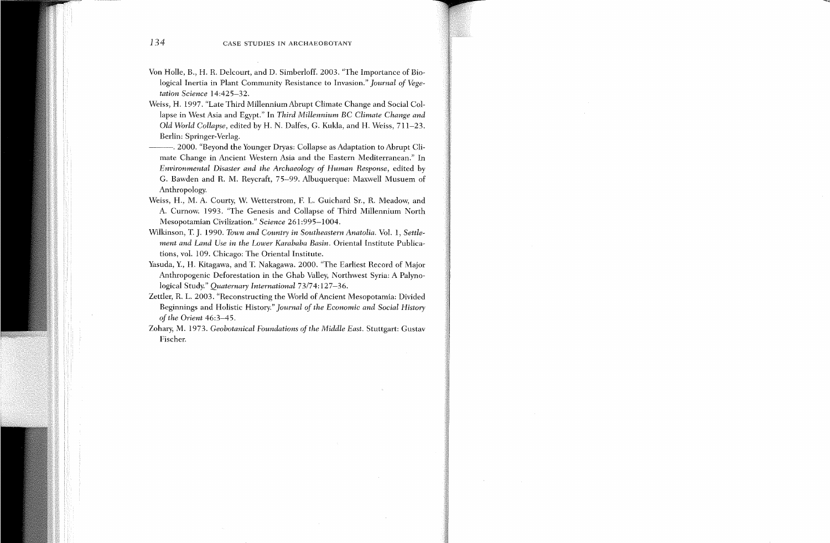- Von Holle, B., H. R. Delcourt, and D. Simberloff. 2003. "The Importance of Biological Inertia in Plant Community Resistance to Invasion." *Journal of Vegetation Science 14:425-32.*
- Weiss, H. 1997. "Late Third Millennium Abrupt Climate Change and Social Collapse in West Asia and Egypt." In *Third Millennium* BC *Climate Change and Old World Collapse,* edited by H. N. Dalfes, G. Kukla, and H. Weiss, 711-23. Berlin: Springer-Verlag.
- ---------------. 2000. "Beyond the Younger Dryas: Collapse as Adaptation to Abrupt Climate Change in Ancient Western Asia and the Eastern Mediterranean." In *Environmental Disaster and the Archaeology of Human Response,* edited by G. Bawden and R. M. Reycraft, 75-99. Albuquerque: Maxwell Musuem of Anthropology.
- Weiss, H., M. A. Courty, W. Wetterstrom, F. L. Guichard Sr., R. Meadow, and A. Curnow. 1993. "The Genesis and Collapse of Third Millennium North Mesopotamian Civilization." *Science 261:995-1004.*
- Wilkinson, T. J. 1990. *Town and Country in Southeastern Anatolia*. Vol. 1, Settle*ment and Land Use in the Lower Karababa Basin.* Oriental Institute Publications, vol. 109. Chicago: The Oriental Institute.
- Yasuda, Y., H. Kitagawa, and T. Nakagawa. 2000. "The Earliest Record of Major Anthropogenic Deforestation in the Ghab Valley, Northwest Syria: A Palynological Study." *Quaternary International 73174:127-36.*
- Zettler, R. L. 2003. "Reconstructing the World of Ancient Mesopotamia: Divided Beginnings and Holistic History." *Journal of the Economic and Social History of the Orient 46:3-45.*
- Zohary, M. 1973. *Geobotanical Foundations of the Middle East.* Stuttgart: Gustav Fischer.